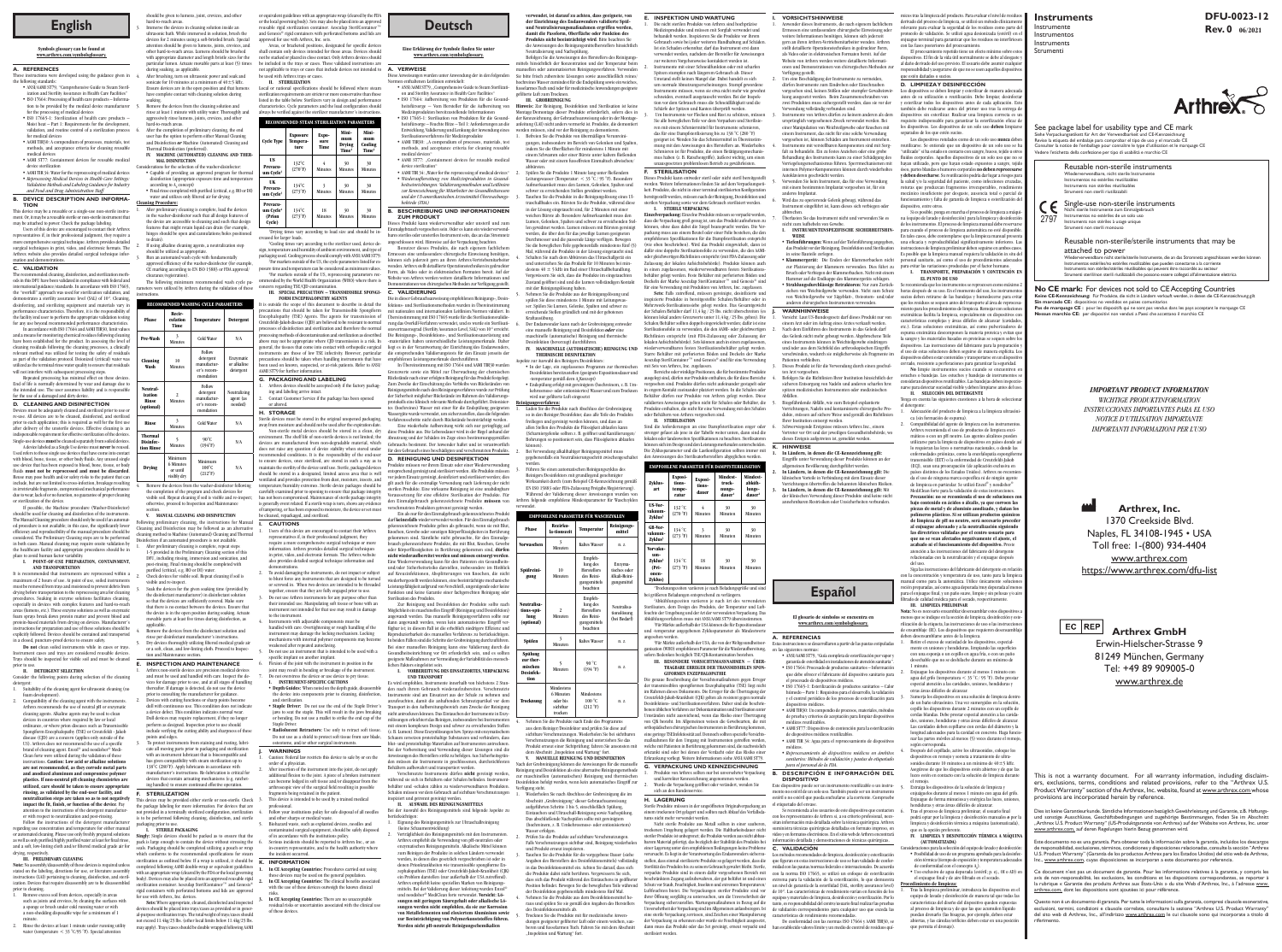### **E. INSPEKTION UND WARTUNG**

.<br>Die nicht sterilen Produkte von Arthrex sind hochpräzis Medizinprodukte und müssen mit Sorgfalt verwendet und behandelt werden. Inspizieren Sie die Produkte vor ihrem Gebrauch sowie bei jeder weiteren Handhabung auf Schäden. Ist ein Schaden erkennbar, darf das Instrument erst dann erwendet werden, nachdem der Hersteller für Anweisungen zur weiteren Vorgehensweise kontaktiert worden ist. 2. Instrumente mit einer Schneidfunktion oder mit scharfen Spitzen stumpfen nach längerem Gebrauch ab. Dieser Umstand stellt keinen Mangel dar. Dabei handelt es sich um normale Abnutzungserscheinungen. Stumpf gewordene Instrumente müssen, wenn sie etwa nicht mehr wie gewohnt schneiden, eventuell ausgetauscht werden. Bei der Inspektion vor dem Gebrauch muss die Schneidfähigkeit und die Schärfe der Spitzen und Kanten überprüft werden. 3. Um Instrumente vor Flecken und Rost zu schützen, müssen Sie alle beweglichen Teile vor dem Verpacken und Sterilisieren mit einem Schmiermittel für Instrumente schmieren,

das für eine Dampfsterilisierung bis zu 138 °C (280 °F) geeignet ist. Wenden Sie das Schmiermittel in Übereinstimmung mit den Anweisungen des Herstellers an. Wiederholtes Schmieren ist für Produkte, die einen Betätigungsmechanismus haben (z. B. Ratschengriffe), äußerst wichtig, um einen unausgesetzten problemlosen Betrieb zu gewährleisten. **F. STERILISATION**

Dieses Produkt kann entweder steril oder nicht steril bereitgestellt werden. Weitere Informationen finden Sie auf dem Verpackungsetikett. Produkte, die nicht in einer terminal sterilisierten Konfiguration bereitgestellt werden, müssen nach der Reinigung, Desinfektion und Verpackung sowie vor dem Gebrauch sterilisiert werden. **I. STERILE VERPACKUNG**

**Einzelverpackung:** Einzelne Produkte müssen so verpackt werden, dass die Verpackung groß genug ist, um das Produkt aufnehmen zu können, ohne dass dabei die Siegel beansprucht werden. Die Verpackung muss aus einem Beutel oder einer Folie bestehen, die den empfohlenen Spezifikationen für die Dampfsterilisation entspricht (wie oben beschrieben). Wird das Produkt eingewickelt, dann ist dafür eine doppelte Sterilisationsfolie zu verwenden, die den AAMIoder gleichwertigen Richtlinien entspricht (mit FDA-Zulassung oder Zulassung der lokalen Aufsichtsbehörde). Produkte können auch in einen zugelassenen, wiederverwendbaren festen Sterilisationsbehälter gelegt werden. Feste Behälter mit perforierten Böden und Deckeln der Marke Aesculap SterilContainer™ und Genesis® sind für eine Verwendung mit Produkten von Arthrex, Inc. zugelassen. **Sets:** Falls zutreffend, müssen gereinigte, desinfizierte und inspizierte Produkte in bereitgestellte Schalen/Behälter oder in Mehrzweck-Sterilisationssiebe gelegt werden. Das Gesamtgewicht der Schalen/Behälter darf 11,4 kg / 25 lbs. nicht überschreiten (es können lokal andere Grenzwerte unter 11,4 kg / 25 lbs. gelten). Die Schalen/Behälter sollten doppelt eingewickelt werden; dafür ist eine Sterilisationsfolie zu verwenden, die den AAMI- oder gleichwertigen Richtlinien entspricht (mit FDA-Zulassung oder Zulassung der lokalen Aufsichtsbehörde). Sets können auch in einen zugelassenen, wiederverwendbaren festen Sterilisationsbehälter gelegt werden. Starre Behälter mit perforierten Böden und Deckeln der Marke Aesculap SterilContainer™ und Genesis® sind für eine Verwendung

mit Sets von Arthrex, Inc. zugelassen. Bereiche oder winklige Positionen, die für bestimmte Produkte ausgelegt sind, dürfen nur Produkte enthalten, die für diese Bereiche vorgesehen sind. Produkte dürfen nicht aufeinander gestapelt oder in engem Kontakt zueinander platziert werden. In die Schalen oder Behälter dürfen nur Produkte von Arthrex gelegt werden. Diese validierten Anweisungen gelten nicht für Schalen oder Behälter, die Produkte enthalten, die nicht für eine Verwendung mit den Schalen oder Behältern von Arthrex vorgesehen sind.

### **II. STERILISATION**

Sind die Anforderungen an eine Dampfsterilisation enger oder strenger gefasst als jene in der Tabelle weiter unten, dann sind die lokalen oder landesweiten Spezifikationen zu beachten. Sterilisatoren nen sich im Design und den Leistungsmerkmalen unterscheiden. Die Zyklusparameter und die Lastkonfiguration sollten immer mit den Anweisungen des Sterilisatorherstellers abgeglichen werden.

| EMPFOHLENE PARAMETER FÜR DAMPFSTERILISATION                         |                                      |                            |                                                    |                                                    |
|---------------------------------------------------------------------|--------------------------------------|----------------------------|----------------------------------------------------|----------------------------------------------------|
| Zyklus-<br>art                                                      | Exposi-<br>tions-<br>tempe-<br>ratur | Exposi-<br>tions-<br>dauer | Mindest-<br>trock-<br>nungs-<br>dauer <sup>1</sup> | Mindest-<br>abküh-<br>lungs-<br>dauer <sup>2</sup> |
| US-Vor-<br>vakuum-<br>Zyklus <sup>3</sup>                           | 132 °C<br>(270 °F)                   | Minuten                    | 30<br>Minuten                                      | 30<br>Minuten                                      |
| GB-Vor-<br>vakuum-<br>Zyklus <sup>3</sup>                           | 134 °C<br>(273 °F)                   | 3<br>Minuten               | 30<br>Minuten                                      | 30<br>Minuten                                      |
| Vorvaku-<br>um-<br>Zyklus <sup>4</sup><br>(Pri-<br>onen-<br>Zvklus) | 134 °C<br>(273 °F)                   | 18<br>Minuten              | 30<br>Minuten                                      | 30<br>Minuten                                      |

1 Trocknungszeiten variieren je nach Beladungsgröße und sind bei größeren Beladungen entsprechend zu verlängern.

2 Abkühlungszeiten variieren je nach Art des verwendeten Sterilisators, dem Design des Produkts, der Temperatur und Luftfeuchte der Umgebung und der Art der verwendeten Verpackung. Das Abkühlungsverfahren muss mit ANSI/AAMI ST79 übereinstimmen. 3 Für Märkte außerhalb der USA können die für Expositionsdauer und -temperatur angegebenen Zyklusparameter als Mindestwerte

**• Klammergerät:** Die Enden der Klammerbacken nicht personal sanitario, así como el uso de procedimientos adecuados zur Platzierung der Klammern verwenden. Dies führt zu para evitar las variaciones producidas por el factor humano. Si es posible, ponga en marcha el proceso de limpieza a máquina (equipo de lavado y desinfección) para la limpieza y desinfección de los instrumentos. El proceso de limpieza manual debe reserva para cuando el proceso de limpieza automática no esté disponib En tales casos, debe contemplarse que la limpieza manual prese una eficacia y reproducibilidad significativamente inferiores. La strucciones de limpieza preliminar deben seguirse en ambos ca Es posible que la limpieza manual requiera la validación in situ de

angesehen werden. 4 Für Märkte außerhalb der USA, die von der Weltgesundheitsor-Estas instrucciones se desarrollaron a partir de las pautas estipuladas ganisation (WHO) empfohlenen Parameter für die Wiederaufbereitung, en las siguientes normas: sofern Bedenken bezüglich TSE/CJK-Kontamination bestehen. **III. BESONDERE VORSICHTSMASSNAHMEN − ÜBER-TRAGBARE ERREGER DER TRANSMISSIBLEN SPON-GIFORMEN ENZEPHALOPATHIE**

Die genaue Beschreibung der Vorsichtsmaßnahmen gegen Erreger der transmissiblen spongiformen Enzephalopathie (TSE) liegt nicht im Rahmen dieses Dokuments. Die Erreger für die Übertragung der Creutzfeldt-Jakob-Krankheit (CJK) gelten als resistent gegen Desinfektions- und Sterilisationsverfahren. Daher sind die beschriebenen üblichen Verfahren zur Dekontamination und Sterilisation unter nständen nicht ausreichend, wenn das Risiko einer Übertragung von CJK besteht. Im Allgemeinen weisen die Gewebearten, die mi orthopädischen chirurgischen Instrumenten in Berührung kommen, eine geringe TSEInfektiosität auf. Dennoch sollten spezielle Vorsichtsmen für den Umgang mit Instrumenten getroffen werden, welche mit Patienten in Berührung gekommen sind, die nachweislich erkrankt sind oder bei denen der Verdacht oder das Risiko einer Erkrankung vorliegt. Weitere Informationen siehe ANSI/AAMI ST79.

**G. VERPACKUNG UND KENNZEICHNUNG** Produkte von Arthrex sollten nur bei unversehrter Verpackung B. und korrekter Kennzeichnung angenommen werden. 2. Wurde die Verpackung geöffnet oder verändert, wenden Sie

sich an den Kundenservice. **H. LAGERUNG**

Sterile Produkte müssen in der ungeöffneten Originalverpackung an einem trockenen Ort gelagert und sollten nach Ablauf des Verfallsdatums nicht mehr verwendet werden.

nto no estéril de un solo uso. También puede ser un instrument estéril o no estéril que pueda enchufarse a la corriente. Compruebe

Nicht sterile Produkte aus Metall sollten in einer sauberen, trockenen Umgebung gelagert werden. Die Haltbarkeitsdauer nicht steriler Produkte ist unbegrenzt; die Produkte werden aus nicht abbaubarem Material gefertigt, das bezüglich der Stabilität des Produkts bei einer Lagerung unter den empfohlenen Bedingungen keine Probleme **C. VALIDACIÓN** verursacht. Es liegt in der Verantwortung des Endanwenders sicherzustellen, dass einmal sterilisierte Produkte so gelagert werden, dass die Sterilität des Produkts bis zu seinem Gebrauch gewahrt bleibt. Sterile, midad con las pautas/normas federales e internacionales. De acuerdo verpackte Produkte sind in einem dafür vorgesehenen Bereich mit con la norma ISO 17665, se utilizó un enfoque de esterilización beschränktem Zugang aufzubewahren, der gut belüftet ist und einen extrema para la validación de la esterilización, lo que demuestra Schutz vor Staub, Feuchtigkeit, Insekten und extremen Temperaturen/ un nivel de garantía de la esterilidad (SAL, sterility assurance level) Luftfeuchten bietet. Die Verpackungen steriler Produkte sind vor de 10<sup>6</sup>. Las características de rendimiento varían en función de los ihrer Öffnung sorgfältig zu untersuchen, um die Unversehrtheit der equipos y materiales de limpieza, desinfección y esterilización. Por lo Verpackung sicherzustellen. Wartungsmaßnahmen in Bezug auf die tanto, es responsabilidad del centro/usuario final realizar las pruebas Unversehrtheit der Verpackung sind im Allgemeinen anlassbezogen. Ist de validación correspondientes para cualquier uso que exceda las eine sterile Verpackung zerrissen, sind Zeichen einer Manipulierung características de rendimiento recomendadas. der Verpackung zu erkennen oder wurde sie Feuchtigkeit ausgesetzt, dann muss das Produkt oder das Set gereinigt, erneut verpackt und sterilisiert werden.

El procesamiento repetido tiene un efecto mínimo sobre e dispositivos. El fin de la vida útil normalmente se debe al desgast al daño derivado del uso previsto. El usuario debe asumir cualqu esponsabilidad y asegurarse de que no se usen aquellos dispositi que estén dañados o sucios.

> **Arthrex GmbH** Erwin-Hielscher-Strasse 9 81249 München, Germany Tel: +49 89 909005-0 www.arthrex.de

Los dispositivos se deben limpiar y esterilizar de manera adecua antes de su utilización o reutilización. Debe limpiar, desinfect  $\alpha$  esterilizar todos los dispositivos antes de cada aplicación. Esto también debe realizarse antes del primer uso tras la entrega d dispositivos sin esterilizar. Realizar una limpieza correcta es u requisito indispensable para garantizar la esterilización eficaz de los dispositivos. Los dispositivos de un solo uso deben limpi separados de los que estén sucios.

> **Arthrex, Inc.** 1370 Creekside Blvd. Naples, FL 34108-1945 • USA Toll free: 1-(800) 934-4404 www.arthrex.com https://www.arthrex.com/dfu-list

 $EC |REP|$ 

**Instruments**

Instrumente Instrumentos **Instruments** Strumenti

> *IMPORTANT PRODUCT INFORMATION WICHTIGE PRODUKTINFORMATION INSTRUCCIONES IMPORTANTES PARA EL USO NOTICE D'UTILISATION IMPORTANTE IMPORTANTI INFORMAZIONI PER L'USO*



Los dispositivos rotulados como de un solo uso nunca del eutilizarse. Se entiende que un dispositivo de un solo uso se l "utilizado" si ha estado en contacto con sangre, hueso, tejido u ot fluidos corporales. Aquellos dispositivos de un solo uso que no hayan utilizado, pero que hayan estado expuestos a sangre, teji óseo, partes blandas o humores corporales **no deben reprocesarse y deben desecharse**. Su reutilización podría dar lugar a riesgos para la salud y/o la seguridad del paciente, como infecciones cruzada roturas que produzcan fragmentos irrecuperables, rendimie necánico insuficiente por desgaste, ausencia total o parcial d funcionamiento y falta de garantía de limpieza o esterilización d dispositivo, entre otros.

**I. VORSICHTSHINWEISE** wender dieses Instruments, die nach eigenem fachliche Ermessen eine umfassendere chirurgische Einweisung oder weitere Informationen benötigen, können sich jederzeit gern an ihren Arthrex-Vertriebsmitarbeiter wenden. Arthrex stellt detaillierte Operationstechniken in gedruckter Form, als Video oder in elektronischen Formaten bereit. Auf der Website von Arthrex werden weitere detaillierte Informationen und Demonstrationen von chirurgischen Methoden zur

> **I. TRANSPORTE, PREPARACIÓN Y CONTENCIÓN I EL PUNTO DE USO**

Verfügung gestellt. 2. Um eine Beschädigung der Instrumente zu vermeiden, dürfen Instrumente zum Eindrehen oder Einschrauben vorgesehen sind, keinen Stößen oder stumpfer Gewalteinwirkung ausgesetzt werden. Beim Zusan zwei Produkten muss sichergestellt werden, dass sie vor der

> hienda que los instrumentos se reprocesen como má: horas después de su uso. En el momento del uso, los instrum sucios deben retirarse de las bandejas y humedecerse para ev que los residuos se sequen antes del transporte al área de repro miento para los procedimientos de limpieza. Remojar con soluci enzimáticas facilita la limpieza, especialmente en dispositivos con características complejas y áreas difíciles de alcanzar (cavidade etc.). Estas soluciones enzimáticas, así como pulverizadores de espuma enzimática descomponen la materia proteica y evitan qu  $\overline{\mathrm{a}}$  sangre y los materiales basados en proteínas se sequen sobre l dispositivos. Las instrucciones del fabricante para la preparación el uso de estas soluciones deben seguirse de manera explícita. Lo dispositivos deben estar contenidos y transportarse en un dispositivo cerrado, resistente a perforaciones para garantizar la seguridad.

No limpie instrumentos sucios cuando se encuentren estuches o bandejas. Los estuches y bandejas de instrumentos consideran dispositivos reutilizables. Las bandejas deben inspecci narse para detectar suciedad visible y deben limpiarse antes del uso. **II. SELECCIÓN DEL DETERGENTE**

Tenga en cuenta las siguientes cuestiones a la hora de seleccion el detergente:

Adecuación del producto de limpieza a la limpieza ultrasón ca (sin formación de espuma).

Compatibilidad del agente de limpieza con los instrumento Arthrex recomienda el uso de productos de limpieza enzimáticos o con un pH neutro. Los agentes alcalinos pueden utilizarse para la limpieza de dispositivos en países donde as lo requieran las leyes o normativas nacionales, o donde las enfermedades priónicas, como la encefalopatía espongifor transmisible (EET) o la enfermedad de Creutzfeldt-Jakob (ECJ), sean una preocupación (de aplicación exclusiva en países distintos de los Estados Unidos). Arthrex no recomida el uso de ninguna marca específica ni de ningún agente de limpieza en particular. Se utilizó Enzol® y neodisher® MediClean forte para la validación de estas instruccione **Precaución: no se recomienda el uso de soluciones con bajo contenido en ácidos o álcalis, ya que corroen las piezas de metal y de aluminio anodizado, y dañan los polímeros plásticos. Si se utilizan productos químicos**  de limpieza de pH no neutro, será necesario procede **al enjuague adecuado y a la neutralización siguiendo las directrices validadas por el centro usuario para que no se vean afectados negativamente el ajuste, el acabado ni el funcionamiento del dispositivo.** Preste atención a las instrucciones del fabricante del detergente relacionadas con la neutralización y el enjuague después del uso.

Siga las instrucciones del fabricante del detergente en relaci con la concentración y temperatura de uso, tanto para la limpie: manual como para la automática. Utilice únicamente soluci recién preparadas, así como agua depurada/muy depurada al men para el enjuague final, y un paño suave, limpio y sin pelusas y/o a filtrado de calidad médica para el secado, respectivamente. **III. LIMPIEZA PRELIMINAR**

Nota: No es necesario ensamblar/desensamblar estos disp menos que se indique en la sección de limpieza, desinfección y est rilización de la etiqueta, las instrucciones de uso o las instruccion de ensamblaje (IE). Los dispositivos que requieren desensambla deben desensamblarse antes de la limpieza.

- Verwendung vollständig verbunden sind. 3. Instrumente von Arthrex dürfen zu keinem anderen als dem ursprünglich vorgesehenen Zweck verwendet werden. Bei einer Manipulation von Weichteilgewebe oder Knochen mit einem Instrument, das nicht für eine solche Verwendung vorgesehen ist, können Schäden am Instrument entstehen.
- 4. Instrumente mit verstellbaren Komponenten sind mit Sorgfalt zu behandeln. Ein zu festes Anziehen oder eine grobe Behandlung des Instruments kann zu einer Schädigung des Verriegelungsmechanismus führen. Sperrmechanismen mit
- internen Polymer-Komponenten können durch wiederholtes Autoklavieren geschwächt werden. 5. Verwenden Sie kein Instrument, das für eine Verwendung mit einem bestimmten Implantat vorgesehen ist, für ein
- nderes Implantat Wird das zu operierende Gelenk gebeugt, während das Instrument eingeführt ist, kann dieses sich verbiegen oder
- abbrechen. 7. Überlasten Sie das Instrument nicht und verwenden Sie es
- nicht zum Aufhebeln von Gewebe. **I. INSTRUMENTENSPEZIFISCHE SICHERHEITSHIN-WEISE**
- **• Tiefenführungen:** Wenn auf der Tiefenführung angegeben, das Produkt vor der Reinigung, Desinfektion und Sterilisation in seine Bauteile zerlegen.
- Bruch oder Verbiegen der Klammerbacken. Nicht mit einem Hammer auf die Endkappe des Klammergeräts schlagen. **• Strahlungsdurchlässige Retraktoren:** Nur zum Zurück-
- ziehen von Weichteilgewebe verwenden. Nicht zum Schutz von Weichteilgewebe vor Sägeblatt-, Osteotom- und/oder anderen chirurgischen Instrumenten verwenden. **J. WARNHINWEISE**
- 1. Vorsicht: Laut US-Bundesgesetz darf dieses Produkt nur von einem Arzt oder im Auftrag eines Arztes verkauft werden. Nach dem Einführen des Instruments in das Gelenk darf das Gelenk nicht mehr gebeugt werden. Abgebrochene Teile eines Instruments können in Weichteilgewebe eindringen und/oder aus dem Sichtfeld des arthroskopischen Eingriffs verschwinden, wodurch sie möglicherweise als Fragmente im Patienten verbleiben. 3. Dieses Produkt ist für die Verwendung durch einen geschul-
- ten Arzt vorgesehe
- 4. Befolgen Sie die Richtlinien Ihrer Institution hinsichtlich der sicheren Entsorgung von Nadeln und anderen scharfen bzw. spitzen medizinischen Instrumenten oder medizinischen Abfällen.
- 5. Biogefährdende Abfälle, wie zum Beispiel explantierte Vorrichtungen, Nadeln und kontaminierte chirurgische Produkte, müssen auf sichere Weise und gemäß den Richtlinien Ihrer Institution entsorgt werden.
- 6. Schwerwiegende Ereignisse müssen Arthrex Inc., einem Vertreter vor Ort und der jeweiligen Gesundheitsbehörde, wo dieses Ereignis aufgetreten ist, gemeldet werden.
- **K. HINWEISE 1. In Ländern, in denen die CE-Kennzeichnung gilt:**
- Eingriffe unter Verwendung dieser Produkte können an der allgemeinen Bevölkerung durchgeführt werden. **2. In Ländern, in denen die CE-Kennzeichnung gilt:** Die klinischen Vorteile in Verbindung mit dem Einsatz dieser
- Vorrichtungen übertreffen die bekannten klinischen Risiken. **3. In Ländern, in denen die CE-Kennzeichnung gilt:** Mit der klinischen Verwendung dieser Produkte sind keine nicht annehmbaren Restrisiken oder Unsicherheiten verbunden.

nicos tras la limpieza del producto. Para evaluar el nivel de resid<mark>u</mark> derivado del proceso de limpieza, se utilizó un método clínicame relevante para evaluar la seguridad de los residuos como parte del protocolo de validación. Se utilizó agua desionizada (estéril) en el .<br>enjuague terminal para garantizar que los residuos no interfiries con las fases posteriores del procesan

Sumerja los dispositivos en una solución de limpieza dentr de un baño ultrasónico. Una vez sumergidos en la solución, cepille los dispositivos durante 2 minutos con un cepillo de cerdas blandas. Debe prestar especial atención a las cavidades, uniones, hendiduras y otras áreas difíciles de alcanzar Las cavidades deben cepillarse con cerdas del diámetro y l longitud adecuados para la cavidad en concreto. Haga funci nar las partes móviles al menos (5) veces durante el remojo según corresponda.

el remojo.<br>Este dispositivo puede ser un instrumento reutilizable o un instru- 5. Extraiga los 4. Después del cepillado, active los ultrasonidos, coloque los dispositivos en remojo y someta a tratamiento de ultrasonidos durante 10 minutos a un mínimo de  $40+5$  kHz. Asegúrese de que los dispositivos estén abiertos y de que la es estén en contacto con la solución de limpieza durant

> • Posibilidad de uso de un programa aprobado para la desinfección térmica (tiempo de exposición y temperatura adecua de conformidad con el concepto  $A_0$ ). · Uso exclusivo de agua depurada (estéril; p. ej., OI o AD)

Tras la limpieza preliminar, introduzca los dispositivos en e equipo de lavado y desinfección de manera tal que todas la características del diseño del dispositivo queden expuest al proceso de limpieza y de que las que acumulen líquido puedan drenarlo (las bisagras, por ejemplo, deben estar abiertas, y las cánulas/orificios deben estar en una posición que permita el drenaje).

- ANSI/AAMI ST79, "Comprehensive Guide to Steam Sterilizat on and Sterility Assurance in Health Care Facilities" • ISO 17664: Aufbereitung von Produkten für die Gesund-
- heitsfürsorge − Vom Hersteller für die Aufbereitung von Medizinprodukten bereitzustellende Informationen • ISO 17665-1: Sterilisation von Produkten für die Gesundheitsfürsorge – Feuchte Hitze – Teil 1: Anforderungen an die anleitung (LAI) nicht anders vermerkt ist. Produkte, die demontiert der Kennzeichnung, der Gebrauchsanweisung oder in der Montage-
- Entwicklung, Validierung und Lenkung der Anwendung eines nsverfahrens für Medizinprodukte • AAMI TIR30: "A compendium of processes, materials, test methods, and acceptance criteria for cleaning reusable

• AAMI ST77: "Containment devices for reusable medical

• AAMI TIR 34: ..Water for the reprocessing of medical devices" *• Wiederaufbereitung von Medizinprodukten in Gesundheitseinrichtungen: Validierungsmethoden und Leitlinien zur Kennzeichnung für Mitarbeiter im Gesundheitswesen und der US-amerikanischen Arzneimittel-Überwachungs-*

Dieses Produkt kann wiederverwendbar oder unsteril und zum Einmalgebrauch vorgesehen sein. Oder es kann ein wiederverwendres steriles oder unsteriles Instrument sein, das an das Stromnetz eschlossen wird. Hinweise auf der Verpackung beachten. Benutzer dieses Produkts, die nach eigenem fachlichem Ermessen eine umfassendere chirurgische Einweisung benötigen, nnen sich jederzeit gern an ihren Arthrex-Vertriebsmitarbeite wenden. Arthrex stellt detaillierte Operationstechniken in gedruckter Form, als Video oder in elektronischen Formaten bereit. Auf der Website von Arthrex werden weitere detaillierte Informationen und ationen von chirurgischen Methoden zur Verfügung gestellt

### **El glosario de símbolos se encuentra en www.arthrex.com/symbolsglossary.**

### **A. REFERENCIAS**

• ANSI/AAMI ST79, "Guía completa de esterilización por vapor y garantía de esterilidad en instalaciones de atención sanitaria". • ISO 17664: Procesado de productos sanitarios – Información que debe ofrecer el fabricante del dispositivo sanitario para

el procesado de dispositivos médicos.

• ISO 17665-1: Esterilización de productos sanitarios – Calor húmedo – Parte 1: Requisitos para el desarrollo, la validación y el control periódico de los procesos de esterilización para

In Übereinstimmung mit ISO 17664 und AAMI TIR30 wurden Grenzwerte sowie ein Mittel zur Überwachung der chemischen Rückstände nach einer erfolgten Reinigung für das Produkt festgelegt. Zum Zwecke der Einschätzung des Verbleibs von Rückständen von einigungsmitteln nach den Reinigungsverfahren wurde zur Prüfung der Sicherheit möglicher Rückstände im Rahmen des Validierung protokolls eine klinisch relevante Methode durchgeführt. Deionisiertes (hochreines) Wasser mit einer für die Endspülung geeigneten assergüte wurde verwendet, um sicherzustellen, dass die folgender Verfahrensschritte nicht durch Rückstände beeinträchtigt werden. Eine wiederholte Aufbereitung wirkt sich nur geringfügig auf diese Produkte aus. Die Lebensdauer wird in der Regel anhand der nutzung und der Schäden im Zuge eines bestimmungsgemäße

> • AAMI TIR30: Un compendio de procesos, materiales, métodos de prueba y criterios de aceptación para limpiar dispositivos

médicos reutilizables.

• AAMI ST77: Dispositivos de contención para la esterilización

de dispositivos médicos reutilizables.

• AAMI TIR 34: Agua para el reprocesamiento de dispositivos

médicos.

*• Reprocesamiento de dispositivos médicos en ámbitos sanitarios: Métodos de validación y pautas de etiquetado* 

*para el personal de la FDA.*

sitivos médicos.

für den Gebrauch eines beschädigten und verschmutzten Produkts. **D. REINIGUNG UND DESINFEKTION** rodukte müssen vor ihrem Einsatz oder einer Wiederverwendun itsprechend gereinigt und sterilisiert werden. Alle Produkte müsser vr jedem Einsatz gereinigt, desinfiziert und sterilisiert werden; dies gilt auch für die erstmalige Verwendung nach Lieferung der nicht sterilen Produkte. Eine wirksame Reinigung ist eine unabdingbare ssetzung für eine effektive Sterilisation der Produkte. Für den Einmalgebrauch gekennzeichnete Produkte **müssen** von erschmutzten Produkten getrennt gereinigt werden.

**B. DESCRIPCIÓN E INFORMACIÓN DEL** 

**DISPOSITIVO**

el etiquetado del envase.

Ein als nur für den Einmalgebrauch gekennzeichnetes Produkt darf **keinesfalls** wiederverwendet werden. Für den Einmalgebrauch ennzeichnete Produkte gelten als gebraucht, wenn sie mit Blut, Knochen, Gewebe oder sonstigen Körperflüssigkeiten in Berührung gekommen sind. Sämtliche nicht gebrauchte, für den Einmalgebrauch gekennzeichnete Produkte, die mit Blut, Knochen, Gewebe oder Körperflüssigkeiten in Berührung gekommen sind, **dürfen nicht wiederaufbereitet werden und müssen entsorgt werden**. Eine Wiederverwendung kann für den Patienten ein Gesundheitsund/oder Sicherheitsrisiko darstellen, insbesondere im Hinblick auf Kreuzinfektionen, Absplitterungen von Knochen, die nicht wiederhergestellt werden können, eine beeinträchtigte mechanische Leistungsfähigkeit aufgrund von Verschleiß, ungenügende oder keine unktion und keine Garantie einer fachgerechten Reinigung oder

> Se recomienda a los usuarios de este dispositivo que contacten con los representantes de Arthrex si, a su criterio profesional, necesitan información más detallada sobre la técnica quirúrgica. Arthrex suministra técnicas quirúrgicas detalladas en formato impreso, en video y en formatos electrónicos. En el sitio web de Arthrex encontrará información detallada y demostraciones de técnicas quirúrgicas. Los métodos recomendados de limpieza, desinfección y esterilización que figuran en estas instrucciones de uso se han validado de confor-

gnete Maßnahmen zur Ve lichen Faktors eingeleitet sein.

> De conformidad con las normas ISO 17664 y AAMI TIR30, se han establecido valores límite y un medio de control de residuos quí-

### **D. LIMPIEZA Y DESINFECCIÓN**

Befolgen Sie die Anweisungen des Herstellers des Reinigungsmittels hinsichtlich der Konzentration und der Temperatur beim manuellen oder automatisierten Reinigungsverfahren. Verwenden Sie bitte frisch zubereitete Lösungen sowie ausschließlich reines/ hochreines Wasser zumindest für die Endspülung sowie ein weiches, rmes Tuch und/oder für medizinische Anwendungen geeignete

> **THERMISCHE DESINFEKTION** zur Auswahl des Reinigers/Desinfektor

-temperatur gemäß dem A<sub>0</sub>Konzept)

2. Bei Verwendung alkalihaltiger Reinigungsmittel muss gegebenenfalls ein Neutralisierungsschritt zwischengeschalte

**Spülrein gung**

> 2 Minute

> > 90 °C  $(194 \degree F)$  n. z.

Mindesten 100 °C  $(212 \degree F)$ 

Kaltes Wasser | n. z.

Kaltes Wasser | n. z.

**Mindestens** 6 Minuten oder bis sichtbar trocken

Nehmen Sie die Produkte nach Ende des Programm aus dem Reiniger/Desinfektor und prüfen Sie diese auf sichtbare Verschmutzungen. Wiederholen Sie bei sichtbaren schmutzungen die Reinigung und unterziehen Sie das Produkt erneut einer Sichtprüfung; fahren Sie ansonsten mit dem Abschnitt "Inspektion und Wartung" fort. **V. MANUELLE REINIGUNG UND DESINFEKTION** h der Grobreinigung können die Anweisungen für die manuell<mark>e</mark> igung und Desinfektion als eine alternative Reinigungsmethode zur maschinellen (automatischen) Reinigung und thermischen Desinfektion befolgt werden, wenn kein automatisches Eingriff zur

Prüfen Sie die Produkte auf sichtbare Verschmutzungen. Falls Verschmutzungen sichtbar sind, Reinigung wiederholen

Tauchen Sie die Produkte für die vorgegebene Dauer (siehe

ultrasonic bath. While immersed in solution, brush the devices for 2 minutes using a soft-bristled brush. Special attention should be given to lumens, joints, crevices, and other hard-to-reach areas. Lumens should be brushed with appropriate diameter and length bristle sizes for the particular lumen. Actuate movable parts at least (5) times ring soaking, as applicable.

sonicate for 10 minutes at a minimum of  $40 \pm 5$  kHz. Ensure devices are in the open position and that lumens have complete contact with cleaning solution during soaking.

After brushing, turn on ultrasonic power and soak and

- After the completion of preliminary cleaning, the end user has the option to perform either Manual Cleaning
- and Disinfection *or* Machine (Automated) Cleaning and Thermal Disinfection (preferred). **MACHINE (AUTOMATED) CLEANING AND THER-**
- **MAL DISINFECTION** Considerations for the selection of the washer-disinfector:
- Capable of providing an approved program for thermal disinfection (appropriate exposure time and temperature according to A<sub>0</sub> concept) • Final rinse completed with purified (critical, e.g. RO or DI)
- water and utilizes only filtered air for drying **Cleaning Procedure:** After preliminary cleaning is complete, load the devices in the washer-disinfector such that all design features of the device are accessible to cleaning and such that design
- features that might retain liquid can drain (for example, hinges should be open and cannulations/holes positioned to drain). 2. If using alkaline cleaning agents, a neutralization step should be utilized as appropriate.
- Run an automated wash cycle with fundamentally approved efficiency of the washer-disinfector (for example
- CE marking according to EN ISO 15883 or FDA approval/ clearance/registration). The following minimum recommended wash cycle pa-
- rameters were utilized by Arthrex during the validation of these concern regarding TSE/CJD contamination. instructions.

Remove the devices from the washer-disinfector following the completion of the program and check devices for visible soil. Repeat cleaning if soil is visible and re-inspect; otherwise, proceed to Inspection and Maintenance section.

> 1. Retire el exceso de suciedad de los dispositivos, especialmente en uniones y hendiduras, limpiando las superficies con una esponja o un cepillo en agua fría, o con un paño desechable que no se deshilache durante un mínimo de 1 minuto.

2. Enjuague los dispositivos durante al menos 1 minuto con agua del grifo (temperatura <  $35 \degree C / 95 \degree F$ ). Debe presta especial atención a las cavidades, uniones, hendiduras y otras áreas difíciles de alcanzar.

- nfection if an automated procedure is not available. After preliminary cleaning is complete, repeat steps 1-5 provided in the Preliminary Cleaning section of this DFU, including rinsing, immersion and sonication, and post-rinsing. Final rinsing should be completed with purified (critical, e.g. RO or DI) water.
- 2. Check devices for visible soil. Repeat cleaning if soil is visible and re-inspect. Soak the devices for the given soaking time (provided by the disinfectant manufacturer) in disinfectant solution
- so that the devices are sufficiently covered. Make sure that there is no contact between the devices. Ensure that the device is in the open position during soaking. Actuate movable parts at least five times during disinfection, as applicable
- 4. Remove the devices from the disinfectant solution and rinse per disinfectant manufacturer's instructions. Dry devices thoroughly utilizing filtered medical grade air or a soft, clean, and low-linting cloth. Proceed to Inspec-
- tion and Maintenance section. **E. INSPECTION AND MAINTENANCE**
- Arthrex non-sterile devices are precision medical devices and must be used and handled with care. Inspect the devices for damage prior to use, and at all stages of handling thereafter. If damage is detected, do not use the device prior to consulting the manufacturer for guidance. Devices with cutting functions or sharp points become
- dull with continuous use. This condition does not indicate a device defect. This condition indicates normal wear. Dull devices may require replacement, if they no longer perform as designed. Inspection prior to use should include verifying the cutting ability and sharpness of these points and edges. To protect instruments from staining and rusting, lubri-
- cate all moving parts prior to packaging and sterilization with an instrument lubricant that is biocompatible and has given compatibility with steam sterilization up to 138°C (280°F). Apply lubricants in accordance with manufacturer's instructions. Re-lubrication is critical for devices that contain actuating mechanisms (e.g. ratcheting handles) to ensure continued effective operation.

**Sets:** Where appropriate, cleaned, disinfected and inspected devices should be placed into trays/cases as provided or in general-purpose sterilization trays. The total weight of trays/cases should not exceed 11.4kg/25 lbs. (other local limits below 11.4kg/25 lbs. may apply). Trays/cases should be double wrapped following AAM

5. Extraiga los dispositivos de la solución de limpieza y enjuáguelos durante al menos 1 minuto con agua del grifo. Enjuague de forma minuciosa y enérgica las luces, union hendiduras y otras áreas difíciles de alcanzar.

6. Tras el proceso de limpieza preliminar, el usuario final podrá optar por la limpieza y desinfección manuales o por l pieza y desinfección térmica a máquina (automatizada que es la opción preferente.

**IV. LIMPIEZA Y DESINFECCIÓN TÉRMICA A MÁQUIN (AUTOMATIZADA)** raciones para la selección del equipo de lavado y desinfec

el enjuague final y de aire filtrado en el secado. **Procedimiento de limpieza:**

creased for larger loads. 2 Cooling times vary according to the sterilizer used, device design, temperature and humidity of ambient environment, and type o

### **Eine Erklärung der Symbole finden Sie unter www.arthrex.com/symbolsglossary.**

Diese Anweisungen wurden unter Anwendung der in den folgenden Normen enthaltenen Leitlinien entwickelt:

It is outside the scope of this document to describe in detail the fektions- und Sterilisationsmethoden wurden in Übereinstimmung precautions that should be taken for Transmissible Spongiform mit nationalen und internationalen Leitlinien/Normen validiert. In Creutzfeldt-Jakob disease (CJD) are believed to be resistant to normal rung das Overkill-Verfahren verwendet, und es wurde ein Sterilisatiprocessing methods of decontamination and sterilization as described Die Reinigungs-, Desinfektions-, und Sterilisationsausrüstung und general, the tissues that come into contact with orthopedic surgical liegt es in der Verantwortung der Einrichtung/des Endanwenders, instruments are those of low TSE infectivity. However, particular die entsprechenden Validierungstests für den Einsatz jenseits der precautions should be taken when handling instruments that have empfohlenen Leistungsmerkmale durchzuführen. **FORM ENCEPHALOPATHY AGENTS** Encephalopathy (TSE) Agents. The agents for transmission of processes of disinfection and sterilization and therefore the normal above may not be appropriate where CJD transmission is a risk. In been used on known, suspected, or at-risk patients. Refer to ANSI/ AAMI ST79 for further information.

medical devices"

device sterilization"

devices are manufactured from non-degradable material, which Gebrauchs bestimmt. Der Anwender haftet und ist verantwortlich Sterile devices must be stored in the original unopened packaging, away from moisture and should not be used after the expiration date Non-sterile metal devices should be stored in a clean, dry environment. The shelf life of non-sterile devices is not limited; the does not raise any question of device stability when stored under recommended conditions. It is the responsibility of the end-user to ensure devices, once sterilized, are stored in such a way as to maintain the sterility of the device until use. Sterile, packaged devices hould be stored in a designated, limited access area that is well ventilated and provides protection from dust, moisture, insects, and temperature/humidity extremes. Sterile device packages should be carefully examined prior to opening to ensure that package integrity has not been compromised. Maintenance of sterile package integrity is generally event related. If a sterile wrap is torn, shows any evidence of tampering, or has been exposed to moisture, the device or set must be cleaned, repackaged, and sterilized.

*behörde (FDA)*

**B. BESCHREIBUNG UND INFORMATIONEN** 

**ZUM PRODUKT**

- Users of this device are encouraged to contact their Arthrex representatives if, in their professional judgment, they require a more comprehensive surgical technique or more information. Arthrex provides detailed surgical techniques in print, video, and electronic formats. The Arthrex website also provides detailed surgical technique information and demonstrations.
- 2. To avoid damaging the instruments, do not impact or subject to blunt force any instruments that are designed to be turned or screwed in. When two devices are intended to be threaded together, ensure that they are fully engaged prior to use.
- 3. Do not use Arthrex instruments for any purpose other than their intended use. Manipulating soft tissue or bone with an instrument not intended for that use may result in damage to the instrument.

Instruments with adjustable components must be handled with care. Overtightening or rough handling of the instrument may damage the locking mechanism. Locking mechanisms with internal polymer components may become

**C. VALIDIERUNG**

Die in dieser Gebrauchsanweisung empfohlenen Reinigungs-, Desin-

onsvertrauensgrad (Sterility Assurance Level, SAL) von 10-6 erreicht.

-materialien haben unterschiedliche Leistungsmerkmale. Daher

These instructions were developed using the guidance given in 4 the following standards:

ended cleaning, disinfection, and sterilization methods in this DFU have been validated in compliance with federal and international guidance/standards. In accordance with ISO 17665, the "overkill" approach was used for sterilization validation, and demonstrates a sterility assurance level (SAL) of 10<sup>-6</sup>. Cleaning disinfecting, and sterilizing equipment and materials vary in performance characteristics. Therefore, it is the responsibility of the facility/end user to perform the appropriate validation testing

for any use beyond recommended performance characteristic In accordance with ISO 17664 and AAMI TIR30, limit values and a means for monitoring chemical residues following cleaning have been established for the product. In assessing the level of cleaning residuals following the cleaning processes, a clinically relevant method was utilized for testing the safety of residuals as part of the validation protocol. Deionized (critical) water was utilized as the terminal rinse water quality to ensure that residual will not interfere with subsequent processing steps.

Sterilisation des Produkts.

Zur Reinigung und Desinfektion der Produkte sollte nach Möglichkeit ein maschinelles Eingriff (Reinigung und Desinfektion) angewandt werden. Das manuelle Reinigungsverfahren sollte nur dann angewandt werden, wenn kein automatisiertes Eingriff verfügbar ist; in diesem Fall ist die erheblich niedrigere Effizienz und Reproduzierbarkeit des manuellen Verfahrens zu berücksichtigen. n beiden Fällen sind die Schritte der Grobreinigung durchzuführen. Bei einer manuellen Reinigung kann eine Validierung durch die Gesundheitseinrichtung vor Ort erforderlich sein, und es sollten

#### prior to use. **II. DETERGENT SELECTION**

### Consider the following points during selection of the cleaning detergent

- Suitability of the cleaning agent for ultrasonic cleaning (no foam development).
- 2. Compatibility of the cleaning agent with the instruments. Arthrex recommends the use of neutral pH or enzymatic cleaning agents. Alkaline agents may be used to clean devices in countries where required by law or local ordinance, or where prion diseases such as Transmissible Spongiform Encephalopathy (TSE) or Creutzfeldt - Jakob disease (CJD) are a concern (applies only outside of the US). Arthrex does not recommend the use of a specific brand of cleaning agent. Enzol® and neodisher® Medi-Clean forte were utilized during the validation of these instructions. **Caution: Low acid or alkaline solution are not recommended, as they corrode metal parts and anodized aluminum and compromise polymer plastics. If non-neutral pH cleaning chemistries are utilized, care should be taken to ensure appropriate rinsing, as validated by the end-user facility, and**  neutralization steps are taken so as to not negativel **impact the fit, finish, or function of the device**. Pay ttention to the instructions of the detergent manufactur

**I. VORBEREITUNG DES EINSATZORTES, VERPACKUNG** 

**UND TRANSPORT**

Es wird empfohlen, Instrumente innerhalb von höchstens 2 Stunden nach ihrem Gebrauch wiederaufzubereiten. Verschmutzt Instrumente sind am Einsatzort aus der Schale zu nehmen und anzufeuchten, damit die anhaftenden Schmutzpartikel vor dem Transport in den Aufbereitungsbereich zum Zwecke der Reinigung nicht antrocknen können. Das Eintauchen der Instrumente in Enzymlösungen erleichtert das Reinigen, insbesondere bei Instrumenten mit einem komplexen Design und schwer zu erreichenden Stellen (z. B. Lumen). Diese Enzymlösungen bzw. Sprays mit enzymatischem chaum zersetzen proteinhaltige Substanzen und verhindern, dass blut- und proteinhaltige Materialien auf Instrumenten antrockner Bei der Vorbereitung und Verwendung dieser Lösungen sind die Anweisungen des Herstellers strikt zu befolgen. Aus Sicherheitsgründen müssen die Instrumente in geschlossenen, durchstichfesten

- such as joints and crevices, by cleaning the surfaces with a sponge or brush under cold running water or with non-shedding disposable wipe for a minimum of  $1$ minute.
- 2. Rinse the devices at least 1 minute under running utility water (temperature  $\langle 35 \text{ °C}/95 \text{ °F} \rangle$ ). Special attention

ould be given to lumens, joint, crevices, and other hard-to-reach areas Immerse the devices in cleaning solution inside an

Behältern aufbewahrt und transportiert werden.

Verschmutzte Instrumente dürfen **nicht** gereinigt werden, während sie sich in Behältern oder Schalen befinden. Instrumentbehälter und -schalen zählen zu wiederverwendbaren Produkten. Schalen müssen vor dem Gebrauch auf sichtbare Verschmutzungen

inspiziert und getrennt gereinigt werden. **II. AUSWAHL DES REINIGUNGSMITTELS** Bei der Auswahl des Reinigungsmittels sind folgende Aspekte zu

1. Eignung des Reinigungsmittels zur Ultraschallreinigung

(keine Schaumentwicklung)

erücksichtige

2. Verträglichkeit des Reinigungsmittels mit den Instrumenten. Arthrex empfiehlt die Verwendung von pH-neutralen oder enzymatischen Reinigungsmitteln. Alkalische Mittel können zum Reinigen der Produkte in solchen Ländern verwendet werden, in denen dies gesetzlich vorgeschrieben ist oder in denen Prionkrankheiten wie transmissible spongiforme Enzephalopathien (TSE) oder Creutzfeldt-Jakob-Krankheit (CJK) ein Problem darstellen (nur außerhalb der USA zutreffend). Arthrex empfiehlt keine speziellen Marken von Reinigungsmitteln. Bei der Validierung dieser Anleitung wurden Enzol® und neodisher® MediClean forte verwendet. **Vorsicht: Lösungen mit geringem Säuregehalt oder alkalische Lösungen werden nicht empfohlen, da sie zur Korrosion von Metallelementen und eloxiertem Aluminium sowie zur Beeinträchtigung von Polymerkunststoffen führen. Werden nicht pH-neutrale Reinigungschemikalien** 

mung mit ISO 17665 wurde für die Sterilisationsvalidi

Single-use non-sterile instruments Nicht sterile Instrumente zum Einmalgebrauch Instrumentos no estériles de un solo uso Instruments non stériles à usage unique Strumenti non sterili monouse

Pas de marquage CE : pour les dispositifs qui ne sont pas vendus dans les pays acceptant le marquage CE **Nessun marchio CE:** per dispositivi non venduti a Paesi che accettano il marchio CE

**verwendet, ist darauf zu achten, dass geeignete, von der Einrichtung des Endanwenders validierte Spülund Neutralisierungsmaßnahmen ergriffen werden, damit die Passform, Oberfläche oder Funktion des Produkts nicht beeinträchtigt wird**. Bitte beachten Sie die Anweisungen des Reinigungsmittelherstellers hinsichtlich

Neutralisierung und Nachspülung.

gefilterte Luft zum Trocknen. **III. GROBREINIGUNG**

**Hinweis:** Zur Reinigung, Desinfektion und Sterilisation ist keine Montage/Demontage dieser Produkte erforderlich, sofern dies in

werden müssen, sind vor der Reinigung zu demontieren. Befreien Sie die Produkte von übermäßigen Verunrein gungen, insbesondere im Bereich von Gelenken und Spalten, indem Sie die Oberflächen für mindestens 1 Minute mit einem Schwamm oder einer Bürste unter kaltem fließenden Wasser oder mit einem fusselfreien Einmaltuch abwischen/

abbürsten.

2. Spülen Sie die Produkte 1 Minute lang unter fließendem Leitungswasser (Temperatur: < 35 °C / 95 °F). Besondere Aufmerksamkeit muss den Lumen, Gelenken, Spalten und schwer zu erreichenden Stellen gewidmet werden. 3. Tauchen Sie die Produkte in die Reinigungslösung eines Ultraschallbades ein. Bürsten Sie die Produkte, während diese in der Lösung eingetaucht sind, für 2 Minuten mit einer weichen Bürste ab. Besondere Aufmerksamkeit muss den Lumen, Gelenken, Spalten und schwer zu erreichenden Stellen gewidmet werden. Lumen müssen mit Bürsten gereinigt werden, die über den für das jeweilige Lumen geeigneten Durchmesser und die passende Länge verfügen. Bewegen Sie die beweglichen Teile gegebenenfalls mindestens fünf (5) Mal, während die Produkte in der Lösung eingetaucht sind. 4. Schalten Sie nach dem Abbürsten das Ultraschallgerät ein und unterziehen Sie das Produkt für 10 Minuten bei mindestens  $40 \pm 5$  kHz im Bad einer Ultraschallbehandlung. Vergewissern Sie sich, dass die Produkte im eingetauchten Zustand geöffnet sind und die Lumen vollständigen Kontakt

mit der Reinigungslösung haben.

5. Nehmen Sie die Produkte aus der Reinigungslösung und spülen Sie diese mindestens 1 Minute mit Leitungswasser. Spülen Sie Lumen, Gelenke, Spalten und schwer zu erreichende Stellen gründlich und mit der gebotenen

Kraftausübung.

6. Der Endanwender kann nach der Grobreinigung entweder eine manuelle Reinigung und Desinfektion *oder* eine maschinelle (automatische) Reinigung und thermische

Desinfektion (bevorzugt) durchführen.

**IV. MASCHINELLE (AUTOMATISCHE) REINIGUNG UND** 

**A. VERWEISE** not applicable to trays or cases that include devices not intended to Areas, or bracketed positions, designated for specific devices shall contain only devices intended for those areas. Devices should not be stacked or placed in close contact. Only Arthrex devices should be included in the trays or cases. These validated instructions are be used with Arthrex trays or cases.

> • In der Lage, ein zugelassenes Programm zur thermischen Desinfektion bereitzustellen (geeignete Expositionsdauer und

• Endspülung erfolgt mit gereinigtem (hochreinem, z. B. Umkehrosmose- oder entionisiertes) Wasser und zum Trocknen

wird nur gefilterte Luft eingesetzt

**Reinigungsverfahren:**

1. Laden Sie die Produkte nach Abschluss der Grobreinigung so in den Reiniger/Desinfektor, dass alle Teile des Produkts freiliegen und gereinigt werden können, und dass an allen Stellen des Produkts die Flüssigkeit ablaufen kann (Scharniergelenke sollten z. B. geöffnet und Kanülierungen/ Bohrungen so positioniert sein, dass Flüssigkeiten ablaufen

können).

werden.

3. Führen Sie einen automatischen Reinigungszyklus des Reinigers/Desinfektors mit grundlegend genehmigter Wirksamkeit durch (zum Beispiel CE-Kennzeichnung gemäß EN ISO 15883 oder FDA-Zulassung/Freigabe/Registrierung). Während der Validierung dieser Anweisungen wurden von Arthrex folgende empfohlene Mindestparameter für Waschzyklen

verwendet.

**EMPFOHLENE PARAMETER FÜR WASCHZYKLEN**

**la-tionszeit Temperatur Reinigungs-**

**mittel**

10 Minuten

Empfehlung des Herstellers des Reiniungsmittel: beachten

Enzymaisches ode Alkali-Reinigungsmittel

**Neutralisations-spülung (optional)**

Empfehlung des Herstellers des Rein gungsmit beachten

Neutralisationslösung (bei Bedarf)

**Spülung zur thermischen Desinfektion**

5 Minuten

**Trocknung**

Verfügung steht

n. z.

1. Wiederholen Sie nach Abschluss der Grobreinigung die im Abschnitt "Grobreinigung" dieser Gebrauchsan aufgeführten Schritte 1 bis 5, einschließlich Spülung, Eintauchen und Ultraschall-Reinigung sowie Nachspülung. Das abschließende Nachspülen sollte mit gereinigtem (hochreinem, z. B. Umkehrosmose- oder entionisiertem)

Wasser erfolgen.

und Produkt erneut inspizieren.

in das Desinfektionsmittel ein. Achten Sie darauf, dass sich die Produkte dabei nicht berühren. Vergewissern Sie sich, dass sich das Produkt während des Eintauchens in geöffneter Position befindet. Bewegen Sie die beweglichen Teile während der Desinfektion gegebenenfalls mindestens fünf Mal. 4. Nehmen Sie die Produkte aus dem Desinfektionsmittel heraus und spülen Sie sie gemäß den Angaben des Herstellers

des Desinfektionsmittels ab.

"Inspektion und Wartung" fort.

Angaben des Herstellers des Desinfel

**Phase Rezirku-**<br> **Phase Rezirku-**

**Vorwaschen** Minuten

**Spülen** Minuten

5. Trocknen Sie die Produkte mit für medizinische Anwendungen geeigneter gefilterter Luft oder einem weichen, sauberen und fusselarmen Tuch. Fahren Sie mit dem Abschnitt

5. Remove the devices from the cleaning solution and rinse at least 1 minute with utility water. Thoroughly and aggressively rinse lumens, joints, crevices, and other hard-to-reach areas.

| HISTITUCHOITS.<br>RECOMMENDED WASHING CYCLE PARAMETERS |                                                 |                                                                |                                       |
|--------------------------------------------------------|-------------------------------------------------|----------------------------------------------------------------|---------------------------------------|
| <b>Phase</b>                                           | Recir-<br>culation<br>Time                      | Temperature                                                    | Detergent                             |
| Pre-Wash                                               | 3<br>Minutes                                    | Cold Water                                                     | N/A                                   |
| Cleaning<br>Wash                                       | 10<br><b>Minutes</b>                            | Follow<br>detergent<br>manufactur-<br>er's recom-<br>mendation | Enzymatic<br>or alkaline<br>detergent |
| Neutral-<br>ization<br><b>Rinse</b><br>(optional)      | <b>Minutes</b>                                  | Follow<br>detergent<br>manufactur-<br>er's recom-<br>mendation | Neutralizing<br>agent (as<br>needed)  |
| <b>Rinse</b>                                           | 3<br><b>Minutes</b>                             | Cold Water                                                     | N/A                                   |
| <b>Thermal</b><br>Disinfec-<br>tion Rinse              | 5<br><b>Minutes</b>                             | $90^{\circ}$ C<br>(194°F)                                      | N/A                                   |
| Drying                                                 | Minimum<br>6 Minutes<br>or until<br>visibly dry | Minimum<br>$100^{\circ}$ C<br>$(212^{\circ}F)$                 | N/A                                   |

**V. MANUAL CLEANING AND DISINFECTION** wing preliminary cleaning, the instructions for Manual Cleaning and Disinfection may be followed as an alternative cleaning method to Machine (Automated) Cleaning and Thermal

### **F. STERILIZATION**

This device may be provided either sterile or non-sterile. Check the package labeling for more information. For devices that are not provided in a terminally sterilized configuration, sterilization is to be performed following cleaning, disinfection, and sterile packaging prior to use.

### **ISTERILE PACKAGING**

**Singly:** Single devices should be packed as to ensure that the pack is large enough to contain the device without stressing the  $\epsilon$ seals. Packaging should be completed utilizing a pouch or wrap which conforms to the recommended specifications for steam sterilization as outlined below. If a wrap is utilized, it should be completed following AAMI double-wrap or equivalent guidelines with an appropriate wrap (cleared by the FDA or the local governing instructions (LAI) pertaining to cleaning, disinfection, and steril-body). Devices may also be placed into an approved reusable rigid sterilization container. Aesculap SterilContainer™ and Genesis rigid containers with perforated bottoms and lids are approved for use with Arthrex, Inc. devices.

or equivalent guidelines with an appropriate wrap (cleared by the FDA or the local governing body). Sets may also be placed into an approved reusable rigid sterilization container. Aesculan SterilContainer and Genesis® rigid containers with perforated bottoms and lids are approved for use with Arthrex, Inc. sets.

**II. STERILIZATION** Local or national specifications should be followed where steam irements are stricter or more conservative than those listed in the table below. Sterilizers vary in design and performance characteristics. Cycle parameters and the load configuration should always be verified against the sterilizer manufacturer's instructions.

#### **RECOMMENDED STEAM STERILIZATION PARAMETERS Cycle Type Exposure Temperature Exposure Time Minimum Drying Time1 Minimum Cooling Time2 US Prevacuum Cycle3** 132°C  $(270°F)$ 4 Minutes 30 Minutes 30 Minutes **UK Prevacuum Cycle3** 134°C (273°F) 3 Minutes 30 Minutes 30 Minutes **Prevacuum Cycle4 (Prion Cycle)** 134°C (273°F) 18 Minutes 30 Minute 30 Minutes 1 Drying times vary according to load size and should be in-

packaging used. Cooling process should comply with ANSI/AAMI ST79. <sup>3</sup>For markets outside of the US, the cycle parameters listed for exposure time and temperature can be considered as minimum values.

4 For markets outside of the US, reprocessing parameters recommended by the World Health Organization (WHO) where there is

**III. SPECIAL PRECAUTION – TRANSMISSIBLE SPONGI-**

**G. PACKAGING AND LABELING** 1. Arthrex devices should be accepted only if the factory packag-

ing and labeling arrive intact. 2. Contact Customer Service if the package has been opened or altered.

### **H. STORAGE**

### **I. CAUTIONS**

weakened after repeated autoclaving. 5. Do not use an instrument that is intended to be used with a

- specific implant on another implant. 6. Flexion of the joint with the instrument in position in the joint may result in bending or breakage of the instrument.
- 7. Do not overstress the device or use device to pry tissue. **I. INSTRUMENT-SPECIFIC CAUTIONS**
- **• Depth Guides:** When noted on the depth guide, disassemble the device into components prior to cleaning, disinfection, and sterilization.

**• Staple Driver:** Do not use the end of the Staple Driver's jaws to seat the staple. This will result in the jaws breaking or bending. Do not use a mallet to strike the end cap of the Staple Driver.

**• Radiolucent Retractors:** Use only to retract soft tissue. Do not use as a shield to protect soft tissue from saw blade, osteotome, and/or other surgical instruments.

- **J. WARNINGS** Caution: Federal law restricts this device to sale by or on the
- order of a physician. 2. After insertion of the instrument into the joint, do not apply additional flexion to the joint. A piece of a broken instrument can become lodged in soft tissue and/or disappear from the arthroscopic view of the surgical field resulting in possible fragments being retained in the patient.
- This device is intended to be used by a trained medical professional.
- 4. Follow your institutions policy for safe disposal of all needles and other sharps or medical waste. 5. Biohazard waste, such as explanted devices, needles and
- contaminated surgical equipment, should be safely disposed of in accordance with the institutions policy. 6. Serious incidents should be reported to Arthrex Inc., or an in-country representative, and to the health authority where
- the incident occurred. **K. INFORMATION**
- **1. In CE Accepting Countries:** Procedures carried out using these devices may be used on the general population.
- **2. In CE Accepting Countries:** The clinical benefits associated with the use of these devices outweigh the known clinical risks. **3. In CE Accepting Countries:** There are no unacceptable
- residual risks or uncertainties associated with the clinical use of these devices.

## **English**

### **Symbols glossary can be found at www.arthrex.com/symbolsglossary.**

### **A. REFERENCES**

- ANSI/AAMI ST79, "Comprehensive Guide to Steam Sterilization and Sterility Assurance in Health Care Facilities" • ISO 17664: Processing of health care products – Informa-
- tion to be provided by the medical device manufacturer for the processing of medical devices • ISO 17665-1: Sterilization of health care products – Moist heat – Part 1: Requirements for the development validation, and routine control of a sterilization process
- for medical devices • AAMI TIR30: A compendium of processes, materials, test methods, and acceptance criteria for cleaning reusable medical devices
- AAMI ST77: Containment devices for reusable medical
- device sterilization • AAMI TIR 34: Water for the reprocessing of medical devices *• Reprocessing Medical Devices in Health Care Settings: Validation Methods and Labeling Guidance for Industry*
- *and Food and Drug Administration Staff* **B. DEVICE DESCRIPTION AND INFORMA-TION**

### This device may be a reusable or a single-use non-sterile instrument. Or, it may be a reusable sterile or non-sterile instrument that

may be attached to power. Check the package labeling. Users of this device are encouraged to contact their Arthrex representatives if, in their professional judgment, they require a more comprehensive surgical technique. Arthrex provides detailed surgical techniques in print, video, and electronic formats. The Arthrex website also provides detailed surgical technique infor-

### mation and demonstrations. **C. VALIDATION**

Repeated processing has minimal effect on these devices. End of life is normally determined by wear and damage due to the intended use. The user assumes liability and is responsibl for the use of a damaged and dirty device.

### **D. CLEANING AND DISINFECTION** Devices must be adequately cleaned and sterilized prior to use or

re-use. All devices are to be cleaned, disinfected, and sterilized prior to each application; this is required as well for the first use after delivery of the unsterile devices. Effective cleaning is an indispensable requirement for effective sterilization of the devices. Single-use devices **must** be cleaned separately from soiled devices.

A device labeled as a Single Use device must **never** be reused. Used refers to those single use devices that have come into contact with blood, bone, tissue, or other body fluids. Any unused single use device that has been exposed to blood, bone, tissue, or bod fluids must not be reprocessed and must be discarded Reuse may pose health and/or safety risks to the patient that can include, but are not limited to cross-infection, breakage resulting in irretrievable fragments, compromised mechanical performance due to wear, lack of or no function, no guarantee of proper cleaning or sterilization of the device.

If possible, the Machine procedure (Washer-Disinfector) should be used for cleaning and disinfection of the instruments. The Manual Cleaning procedure should only be used if an automated procedure is not available; in this case, the significantly lower efficiency and reproducibility of the manual procedure should be considered. The Preliminary Cleaning steps are to be performed in both cases. Manual cleaning may require onsite validation by the healthcare facility and appropriate procedures should be in place to avoid human factor variability.

### **I. POINT-OF-USE PREPARATION, CONTAINMENT, AND TRANSPORTATION**

It is recommended that instruments are reprocessed within a maximum of 2 hours of use. At point of use, soiled instruments must be removed from trays and moistened to prevent debris from drying before transportation to the reprocessing area for cleaning procedures. Soaking in enzyme solutions facilitates cleanin especially in devices with complex features and hard-to-reach areas (lumens, etc.). These enzyme solutions as well as enzymatic foam sprays break down protein matter and prevent blood and protein-based materials from drying on devices. Manufacturer's instructions for preparation and use of these solutions should be explicitly followed. Devices should be contained and transported in a closed, puncture-proof device to ensure safety.

**Do not** clean soiled instruments while in cases or trays. Instrument cases and trays are considered reusable devices. Trays should be inspected for visible soil and must be cleaned

er with respect to neutralization and post-rinsing. Follow the instructions of the detergent manufacture regarding use concentration and temperature for either manual or automated cleaning. Please use only freshly prepared solutions as well as only purified/highly purified water at least for final rinse, and a soft, low-linting cloth and/or filtered medical grade air for

#### drying, respectively. **III. PRELIMINARY CLEANING**

**Note:** No assembly/disassembly of these devices is required unless stated on the labeling, directions for use, or literature assembly ization. Devices that require disassembly are to be disassemble prior to cleaning. 1. Remove excess soil from devices, especially in areas

# **Español**

# **Deutsch**

2797

This is not a warranty document. For all warranty information, including disclaimers, exclusions, terms, conditions and related provisions, refer to the "Arthrex U.S. Product Warranty" section of the Arthrex, Inc. website, found at www.arthrex.com whose provisions are incorporated herein by reference.

Dies ist keine Garantieurkunde. Sämtliche Informationen bezüglich Gewährleistung und Garantie, z.B. Haftungsund sonstige Ausschlüsse, Geschäftsbedingungen und zugehörige Bestimmungen, finden Sie im Abschnitt "Arthrex U.S. Product Warranty" (US-Produktgarantie von Arthrex) auf der Website von Arthrex, Inc. unter www.arthrex.com, auf deren Regelungen hierin Bezug genommen wird.

Este documento no es una garantía. Para obtener toda la información sobre la garantía, incluidos los descargos de responsabilidad, exclusiones, términos, condiciones y disposiciones relacionadas, consulte la sección "Arthrex U.S. Product Warranty" (Garantía de los productos Arthrex para los Estados Unidos) del sitio web de Arthrex, Inc., www.arthrex.com, cuyas disposiciones se incorporan a este documento por referencia.

Ce document n'est pas un document de garantie. Pour les informations relatives à la garantie, y compris les avis de non-responsabilité, les exclusions, les conditions et les dispositions corre la rubrique « Garantie des produits Arthrex aux États-Unis » du site Web d'Arthrex, Inc., à l'adresse www. arthrex.com, dont les dispositions sont ajoutées ici pour référence.

Questo non è un documento di garanzia. Per tutte le informazioni sulla garanzia, compresi clausole esonerative, esclusioni, termini, condizioni e clausole correlate, consultare la sezione "Arthrex U.S. Product Warranty" del sito web di Arthrex, Inc., all'indirizzo www.arthrex.com le cui clausole sono qui incorporate a titolo di riferimento.

See package label for usability type and CE mark Siehe Verpackungsetikett für Art der Verwendbarkeit und CE-Kennzeichn Revise la etiqueta del embalaje para comprobar el tipo de uso y el marcado CE Consulter la notice de l'emballage pour connaître le type d'utilisation et le marquage CE Vedere l'etichetta della confezione per tipo di usabilità e marchio CE

> Reusable non-sterile instruments Wiederverwendbare, nicht sterile Instrument Instrumentos no estériles reutilizables Instruments non stériles réutilisables Strumenti non sterili riutilizzabili

Reusable non-sterile/sterile instruments that may be attached to power Wiederverwendbare nicht sterile/sterile Instrumente, die an das Stromnetz angeschlossen werden können

Instrumentos estériles/no estériles reutilizables que pueden conectarse a la corriente Instruments non stériles/stériles réutilisables qui peuvent être raccordés au secteur Strumenti sterili/non sterili riutilizzabili che possono essere collegati all'alimentazione elettrica

**No CE mark:** For devices not sold to CE Accepting Countries **Keine CE-Kennzeichnung:** Für Produkte, die nicht in Ländern verkauft werden, in denen die CE-Kennzeichnung gilt **Sin marcado CE:** dispositivos no vendidos en países comunitarios